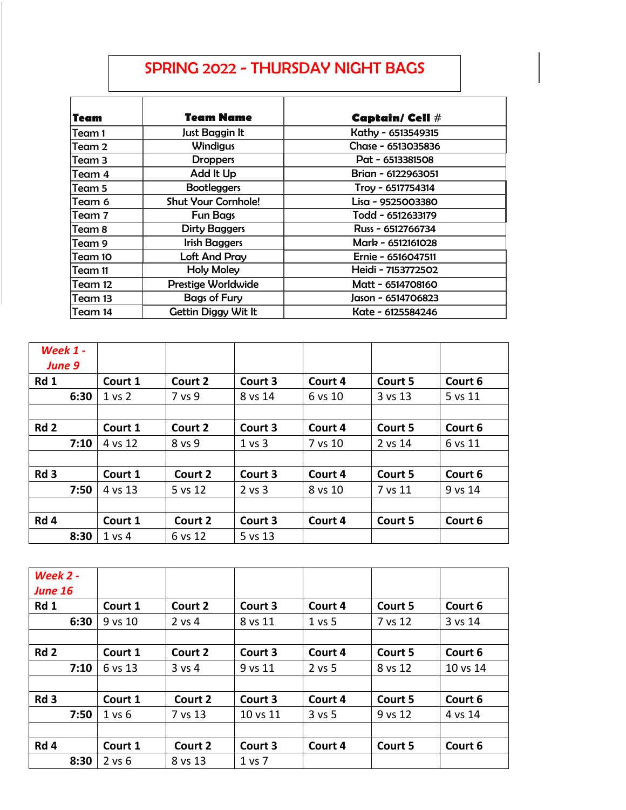## SPRING 2022 - THURSDAY NIGHT BAGS

| Team    | Team Name                  | <b>Captain/ Cell #</b> |
|---------|----------------------------|------------------------|
| Team 1  | Just Baggin It             | Kathy - 6513549315     |
| Team 2  | <b>Windigus</b>            | Chase - 6513035836     |
| Team 3  | <b>Droppers</b>            | Pat - 6513381508       |
| Team 4  | Add It Up                  | Brian - 6122963051     |
| Team 5  | <b>Bootleggers</b>         | Troy - 6517754314      |
| Team 6  | <b>Shut Your Cornhole!</b> | Lisa - 9525003380      |
| Team 7  | <b>Fun Bags</b>            | Todd - 6512633179      |
| Team 8  | <b>Dirty Baggers</b>       | Russ - 6512766734      |
| Team 9  | <b>Irish Baggers</b>       | Mark - 6512161028      |
| Team 10 | <b>Loft And Pray</b>       | Ernie - 6516047511     |
| Team 11 | <b>Holy Moley</b>          | Heidi - 7153772502     |
| Team 12 | Prestige Worldwide         | Matt - 6514708160      |
| Team 13 | <b>Bags of Fury</b>        | Jason - 6514706823     |
| Team 14 | Gettin Diggy Wit It        | Kate - 6125584246      |

| <b>Week 1 -</b><br>June 9 |                   |         |            |         |         |         |
|---------------------------|-------------------|---------|------------|---------|---------|---------|
| Rd 1                      | Court 1           | Court 2 | Court 3    | Court 4 | Court 5 | Court 6 |
| 6:30                      | 1 <sub>vs</sub> 2 | 7 vs 9  | 8 vs 14    | 6 vs 10 | 3 vs 13 | 5 vs 11 |
|                           |                   |         |            |         |         |         |
| Rd <sub>2</sub>           | Court 1           | Court 2 | Court 3    | Court 4 | Court 5 | Court 6 |
| 7:10                      | 4 vs 12           | 8 vs 9  | 1 vs 3     | 7 vs 10 | 2 vs 14 | 6 vs 11 |
|                           |                   |         |            |         |         |         |
| Rd <sub>3</sub>           | Court 1           | Court 2 | Court 3    | Court 4 | Court 5 | Court 6 |
| 7:50                      | 4 vs 13           | 5 vs 12 | $2$ vs $3$ | 8 vs 10 | 7 vs 11 | 9 vs 14 |
|                           |                   |         |            |         |         |         |
| Rd 4                      | Court 1           | Court 2 | Court 3    | Court 4 | Court 5 | Court 6 |
| 8:30                      | $1$ vs $4$        | 6 vs 12 | 5 vs 13    |         |         |         |

| Week 2 -<br><b>June 16</b> |            |          |          |          |         |          |
|----------------------------|------------|----------|----------|----------|---------|----------|
| Rd 1                       | Court 1    | Court 2  | Court 3  | Court 4  | Court 5 | Court 6  |
| 6:30                       | 9 vs 10    | 2 vs 4   | 8 vs 11  | $1$ vs 5 | 7 vs 12 | 3 vs 14  |
|                            |            |          |          |          |         |          |
| Rd <sub>2</sub>            | Court 1    | Court 2  | Court 3  | Court 4  | Court 5 | Court 6  |
| 7:10                       | 6 vs 13    | $3$ vs 4 | 9 vs 11  | $2$ vs 5 | 8 vs 12 | 10 vs 14 |
|                            |            |          |          |          |         |          |
| Rd <sub>3</sub>            | Court 1    | Court 2  | Court 3  | Court 4  | Court 5 | Court 6  |
| 7:50                       | 1 vs 6     | 7 vs 13  | 10 vs 11 | $3$ vs 5 | 9 vs 12 | 4 vs 14  |
|                            |            |          |          |          |         |          |
| Rd <sub>4</sub>            | Court 1    | Court 2  | Court 3  | Court 4  | Court 5 | Court 6  |
| 8:30                       | $2$ vs $6$ | 8 vs 13  | 1 vs 7   |          |         |          |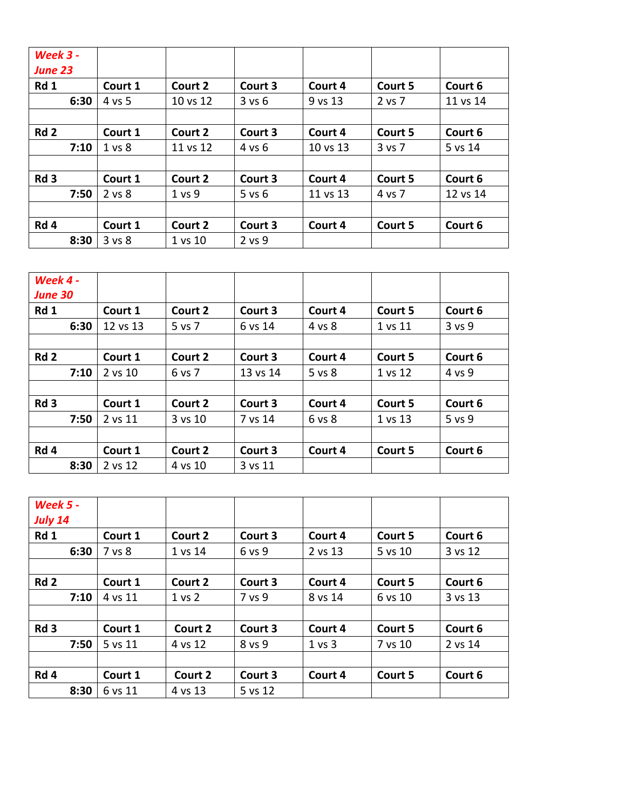| <b>Week 3 -</b><br><b>June 23</b> |                   |          |            |          |         |          |
|-----------------------------------|-------------------|----------|------------|----------|---------|----------|
| Rd 1                              | Court 1           | Court 2  | Court 3    | Court 4  | Court 5 | Court 6  |
| 6:30                              | 4 vs 5            | 10 vs 12 | 3 v s 6    | 9 vs 13  | 2 vs 7  | 11 vs 14 |
|                                   |                   |          |            |          |         |          |
| Rd <sub>2</sub>                   | Court 1           | Court 2  | Court 3    | Court 4  | Court 5 | Court 6  |
| 7:10                              | 1 <sub>vs</sub> 8 | 11 vs 12 | 4 vs 6     | 10 vs 13 | 3 vs 7  | 5 vs 14  |
|                                   |                   |          |            |          |         |          |
| Rd <sub>3</sub>                   | Court 1           | Court 2  | Court 3    | Court 4  | Court 5 | Court 6  |
| 7:50                              | 2 vs 8            | 1 vs 9   | $5$ vs $6$ | 11 vs 13 | 4 vs 7  | 12 vs 14 |
|                                   |                   |          |            |          |         |          |
| Rd 4                              | Court 1           | Court 2  | Court 3    | Court 4  | Court 5 | Court 6  |
| 8:30                              | 3 vs 8            | 1 vs 10  | 2 vs 9     |          |         |          |

| Week 4 -               |          |         |          |         |         |         |
|------------------------|----------|---------|----------|---------|---------|---------|
| <b>June 30</b><br>Rd 1 | Court 1  | Court 2 | Court 3  | Court 4 | Court 5 | Court 6 |
| 6:30                   | 12 vs 13 | 5 vs 7  | 6 vs 14  | 4 vs 8  | 1 vs 11 | 3 vs 9  |
|                        |          |         |          |         |         |         |
| Rd <sub>2</sub>        | Court 1  | Court 2 | Court 3  | Court 4 | Court 5 | Court 6 |
| 7:10                   | 2 vs 10  | 6 vs 7  | 13 vs 14 | 5 vs 8  | 1 vs 12 | 4 vs 9  |
|                        |          |         |          |         |         |         |
| Rd <sub>3</sub>        | Court 1  | Court 2 | Court 3  | Court 4 | Court 5 | Court 6 |
| 7:50                   | 2 vs 11  | 3 vs 10 | 7 vs 14  | 6 vs 8  | 1 vs 13 | 5 vs 9  |
|                        |          |         |          |         |         |         |
| Rd 4                   | Court 1  | Court 2 | Court 3  | Court 4 | Court 5 | Court 6 |
| 8:30                   | 2 vs 12  | 4 vs 10 | 3 vs 11  |         |         |         |

| <b>Week 5 -</b><br>July 14 |         |         |         |         |         |         |
|----------------------------|---------|---------|---------|---------|---------|---------|
| Rd 1                       | Court 1 | Court 2 | Court 3 | Court 4 | Court 5 | Court 6 |
| 6:30                       | 7 vs 8  | 1 vs 14 | 6 vs 9  | 2 vs 13 | 5 vs 10 | 3 vs 12 |
|                            |         |         |         |         |         |         |
| Rd <sub>2</sub>            | Court 1 | Court 2 | Court 3 | Court 4 | Court 5 | Court 6 |
| 7:10                       | 4 vs 11 | 1 vs 2  | 7 vs 9  | 8 vs 14 | 6 vs 10 | 3 vs 13 |
|                            |         |         |         |         |         |         |
| Rd <sub>3</sub>            | Court 1 | Court 2 | Court 3 | Court 4 | Court 5 | Court 6 |
| 7:50                       | 5 vs 11 | 4 vs 12 | 8 vs 9  | 1 vs 3  | 7 vs 10 | 2 vs 14 |
|                            |         |         |         |         |         |         |
| Rd 4                       | Court 1 | Court 2 | Court 3 | Court 4 | Court 5 | Court 6 |
| 8:30                       | 6 vs 11 | 4 vs 13 | 5 vs 12 |         |         |         |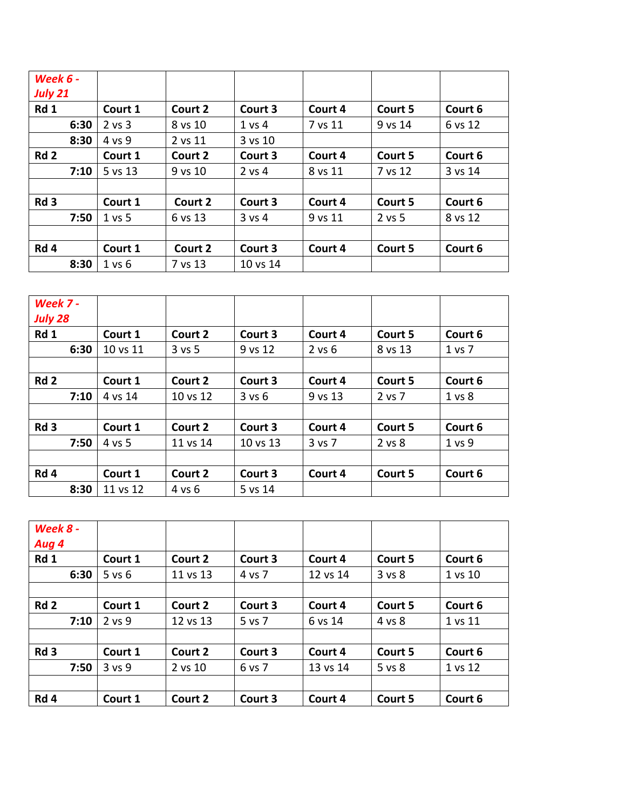| <b>Week 6 -</b><br><b>July 21</b> |            |         |            |         |         |         |
|-----------------------------------|------------|---------|------------|---------|---------|---------|
| Rd 1                              | Court 1    | Court 2 | Court 3    | Court 4 | Court 5 | Court 6 |
| 6:30                              | $2$ vs $3$ | 8 vs 10 | 1 vs 4     | 7 vs 11 | 9 vs 14 | 6 vs 12 |
| 8:30                              | 4 vs 9     | 2 vs 11 | 3 vs 10    |         |         |         |
| Rd <sub>2</sub>                   | Court 1    | Court 2 | Court 3    | Court 4 | Court 5 | Court 6 |
| 7:10                              | 5 vs 13    | 9 vs 10 | $2$ vs 4   | 8 vs 11 | 7 vs 12 | 3 vs 14 |
|                                   |            |         |            |         |         |         |
| Rd <sub>3</sub>                   | Court 1    | Court 2 | Court 3    | Court 4 | Court 5 | Court 6 |
| 7:50                              | 1 vs 5     | 6 vs 13 | $3$ vs $4$ | 9 vs 11 | 2 vs 5  | 8 vs 12 |
|                                   |            |         |            |         |         |         |
| Rd 4                              | Court 1    | Court 2 | Court 3    | Court 4 | Court 5 | Court 6 |
| 8:30                              | 1 vs 6     | 7 vs 13 | 10 vs 14   |         |         |         |

| Week 7 -<br><b>July 28</b> |          |            |          |            |         |            |
|----------------------------|----------|------------|----------|------------|---------|------------|
| Rd 1                       | Court 1  | Court 2    | Court 3  | Court 4    | Court 5 | Court 6    |
| 6:30                       | 10 vs 11 | $3$ vs $5$ | 9 vs 12  | $2$ vs $6$ | 8 vs 13 | $1$ vs $7$ |
|                            |          |            |          |            |         |            |
| Rd <sub>2</sub>            | Court 1  | Court 2    | Court 3  | Court 4    | Court 5 | Court 6    |
| 7:10                       | 4 vs 14  | 10 vs 12   | 3 v s 6  | 9 vs 13    | 2 vs 7  | 1 vs 8     |
|                            |          |            |          |            |         |            |
| Rd <sub>3</sub>            | Court 1  | Court 2    | Court 3  | Court 4    | Court 5 | Court 6    |
| 7:50                       | 4 vs 5   | 11 vs 14   | 10 vs 13 | 3 vs 7     | 2 vs 8  | 1 vs 9     |
|                            |          |            |          |            |         |            |
| Rd 4                       | Court 1  | Court 2    | Court 3  | Court 4    | Court 5 | Court 6    |
| 8:30                       | 11 vs 12 | 4 vs 6     | 5 vs 14  |            |         |            |

| Week 8 -        |            |          |         |          |         |         |
|-----------------|------------|----------|---------|----------|---------|---------|
| Aug 4           |            |          |         |          |         |         |
| Rd 1            | Court 1    | Court 2  | Court 3 | Court 4  | Court 5 | Court 6 |
| 6:30            | $5$ vs $6$ | 11 vs 13 | 4 vs 7  | 12 vs 14 | 3 vs 8  | 1 vs 10 |
|                 |            |          |         |          |         |         |
| Rd <sub>2</sub> | Court 1    | Court 2  | Court 3 | Court 4  | Court 5 | Court 6 |
| 7:10            | $2$ vs $9$ | 12 vs 13 | 5 vs 7  | 6 vs 14  | 4 vs 8  | 1 vs 11 |
|                 |            |          |         |          |         |         |
| Rd <sub>3</sub> | Court 1    | Court 2  | Court 3 | Court 4  | Court 5 | Court 6 |
| 7:50            | 3 vs 9     | 2 vs 10  | 6 vs 7  | 13 vs 14 | 5 vs 8  | 1 vs 12 |
|                 |            |          |         |          |         |         |
| Rd 4            | Court 1    | Court 2  | Court 3 | Court 4  | Court 5 | Court 6 |